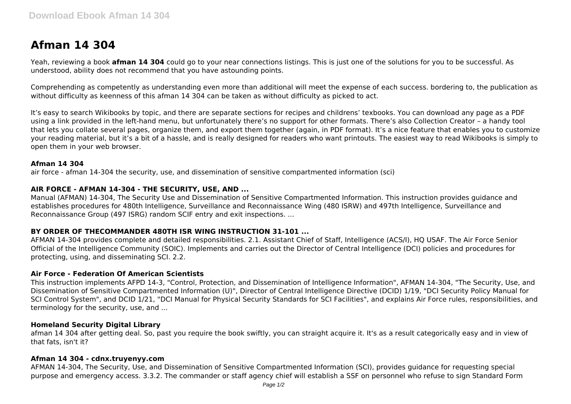# **Afman 14 304**

Yeah, reviewing a book **afman 14 304** could go to your near connections listings. This is just one of the solutions for you to be successful. As understood, ability does not recommend that you have astounding points.

Comprehending as competently as understanding even more than additional will meet the expense of each success. bordering to, the publication as without difficulty as keenness of this afman 14 304 can be taken as without difficulty as picked to act.

It's easy to search Wikibooks by topic, and there are separate sections for recipes and childrens' texbooks. You can download any page as a PDF using a link provided in the left-hand menu, but unfortunately there's no support for other formats. There's also Collection Creator – a handy tool that lets you collate several pages, organize them, and export them together (again, in PDF format). It's a nice feature that enables you to customize your reading material, but it's a bit of a hassle, and is really designed for readers who want printouts. The easiest way to read Wikibooks is simply to open them in your web browser.

## **Afman 14 304**

air force - afman 14-304 the security, use, and dissemination of sensitive compartmented information (sci)

## **AIR FORCE - AFMAN 14-304 - THE SECURITY, USE, AND ...**

Manual (AFMAN) 14-304, The Security Use and Dissemination of Sensitive Compartmented Information. This instruction provides guidance and establishes procedures for 480th Intelligence, Surveillance and Reconnaissance Wing (480 ISRW) and 497th Intelligence, Surveillance and Reconnaissance Group (497 ISRG) random SCIF entry and exit inspections. ...

## **BY ORDER OF THECOMMANDER 480TH ISR WING INSTRUCTION 31-101 ...**

AFMAN 14-304 provides complete and detailed responsibilities. 2.1. Assistant Chief of Staff, Intelligence (ACS/I), HQ USAF. The Air Force Senior Official of the Intelligence Community (SOIC). Implements and carries out the Director of Central Intelligence (DCI) policies and procedures for protecting, using, and disseminating SCI. 2.2.

## **Air Force - Federation Of American Scientists**

This instruction implements AFPD 14-3, "Control, Protection, and Dissemination of Intelligence Information", AFMAN 14-304, "The Security, Use, and Dissemination of Sensitive Compartmented Information (U)", Director of Central Intelligence Directive (DCID) 1/19, "DCI Security Policy Manual for SCI Control System", and DCID 1/21, "DCI Manual for Physical Security Standards for SCI Facilities", and explains Air Force rules, responsibilities, and terminology for the security, use, and ...

#### **Homeland Security Digital Library**

afman 14 304 after getting deal. So, past you require the book swiftly, you can straight acquire it. It's as a result categorically easy and in view of that fats, isn't it?

#### **Afman 14 304 - cdnx.truyenyy.com**

AFMAN 14-304, The Security, Use, and Dissemination of Sensitive Compartmented Information (SCI), provides guidance for requesting special purpose and emergency access. 3.3.2. The commander or staff agency chief will establish a SSF on personnel who refuse to sign Standard Form